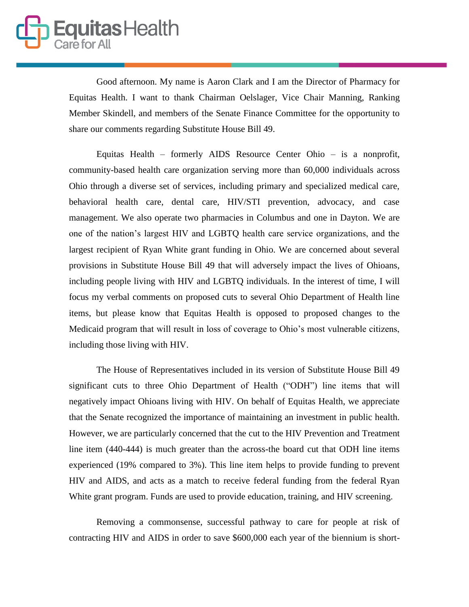Good afternoon. My name is Aaron Clark and I am the Director of Pharmacy for Equitas Health. I want to thank Chairman Oelslager, Vice Chair Manning, Ranking Member Skindell, and members of the Senate Finance Committee for the opportunity to share our comments regarding Substitute House Bill 49.

Equitas Health – formerly AIDS Resource Center Ohio – is a nonprofit, community-based health care organization serving more than 60,000 individuals across Ohio through a diverse set of services, including primary and specialized medical care, behavioral health care, dental care, HIV/STI prevention, advocacy, and case management. We also operate two pharmacies in Columbus and one in Dayton. We are one of the nation's largest HIV and LGBTQ health care service organizations, and the largest recipient of Ryan White grant funding in Ohio. We are concerned about several provisions in Substitute House Bill 49 that will adversely impact the lives of Ohioans, including people living with HIV and LGBTQ individuals. In the interest of time, I will focus my verbal comments on proposed cuts to several Ohio Department of Health line items, but please know that Equitas Health is opposed to proposed changes to the Medicaid program that will result in loss of coverage to Ohio's most vulnerable citizens, including those living with HIV.

The House of Representatives included in its version of Substitute House Bill 49 significant cuts to three Ohio Department of Health ("ODH") line items that will negatively impact Ohioans living with HIV. On behalf of Equitas Health, we appreciate that the Senate recognized the importance of maintaining an investment in public health. However, we are particularly concerned that the cut to the HIV Prevention and Treatment line item (440-444) is much greater than the across-the board cut that ODH line items experienced (19% compared to 3%). This line item helps to provide funding to prevent HIV and AIDS, and acts as a match to receive federal funding from the federal Ryan White grant program. Funds are used to provide education, training, and HIV screening.

Removing a commonsense, successful pathway to care for people at risk of contracting HIV and AIDS in order to save \$600,000 each year of the biennium is short-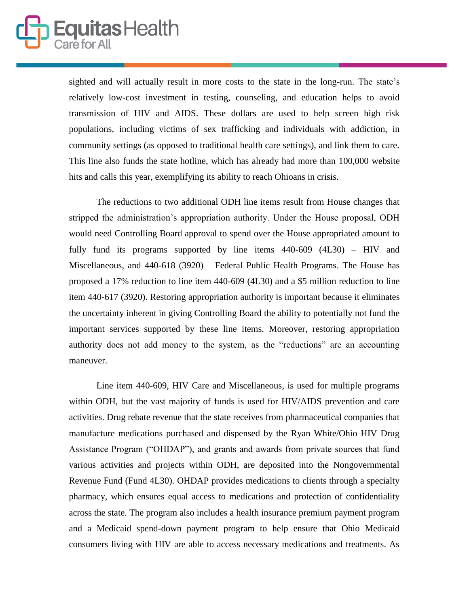

sighted and will actually result in more costs to the state in the long-run. The state's relatively low-cost investment in testing, counseling, and education helps to avoid transmission of HIV and AIDS. These dollars are used to help screen high risk populations, including victims of sex trafficking and individuals with addiction, in community settings (as opposed to traditional health care settings), and link them to care. This line also funds the state hotline, which has already had more than 100,000 website hits and calls this year, exemplifying its ability to reach Ohioans in crisis.

The reductions to two additional ODH line items result from House changes that stripped the administration's appropriation authority. Under the House proposal, ODH would need Controlling Board approval to spend over the House appropriated amount to fully fund its programs supported by line items 440-609 (4L30) – HIV and Miscellaneous, and 440-618 (3920) – Federal Public Health Programs. The House has proposed a 17% reduction to line item 440-609 (4L30) and a \$5 million reduction to line item 440-617 (3920). Restoring appropriation authority is important because it eliminates the uncertainty inherent in giving Controlling Board the ability to potentially not fund the important services supported by these line items. Moreover, restoring appropriation authority does not add money to the system, as the "reductions" are an accounting maneuver.

Line item 440-609, HIV Care and Miscellaneous, is used for multiple programs within ODH, but the vast majority of funds is used for HIV/AIDS prevention and care activities. Drug rebate revenue that the state receives from pharmaceutical companies that manufacture medications purchased and dispensed by the Ryan White/Ohio HIV Drug Assistance Program ("OHDAP"), and grants and awards from private sources that fund various activities and projects within ODH, are deposited into the Nongovernmental Revenue Fund (Fund 4L30). OHDAP provides medications to clients through a specialty pharmacy, which ensures equal access to medications and protection of confidentiality across the state. The program also includes a health insurance premium payment program and a Medicaid spend-down payment program to help ensure that Ohio Medicaid consumers living with HIV are able to access necessary medications and treatments. As